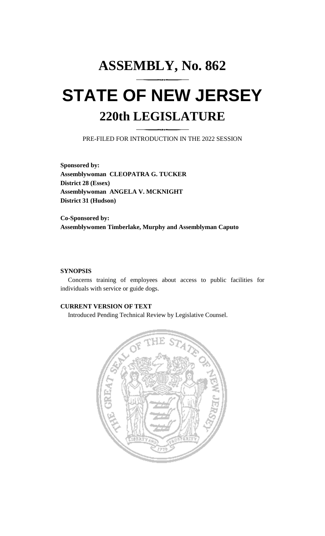## **ASSEMBLY, No. 862 STATE OF NEW JERSEY 220th LEGISLATURE**

PRE-FILED FOR INTRODUCTION IN THE 2022 SESSION

**Sponsored by: Assemblywoman CLEOPATRA G. TUCKER District 28 (Essex) Assemblywoman ANGELA V. MCKNIGHT District 31 (Hudson)**

**Co-Sponsored by: Assemblywomen Timberlake, Murphy and Assemblyman Caputo**

## **SYNOPSIS**

Concerns training of employees about access to public facilities for individuals with service or guide dogs.

## **CURRENT VERSION OF TEXT**

Introduced Pending Technical Review by Legislative Counsel.